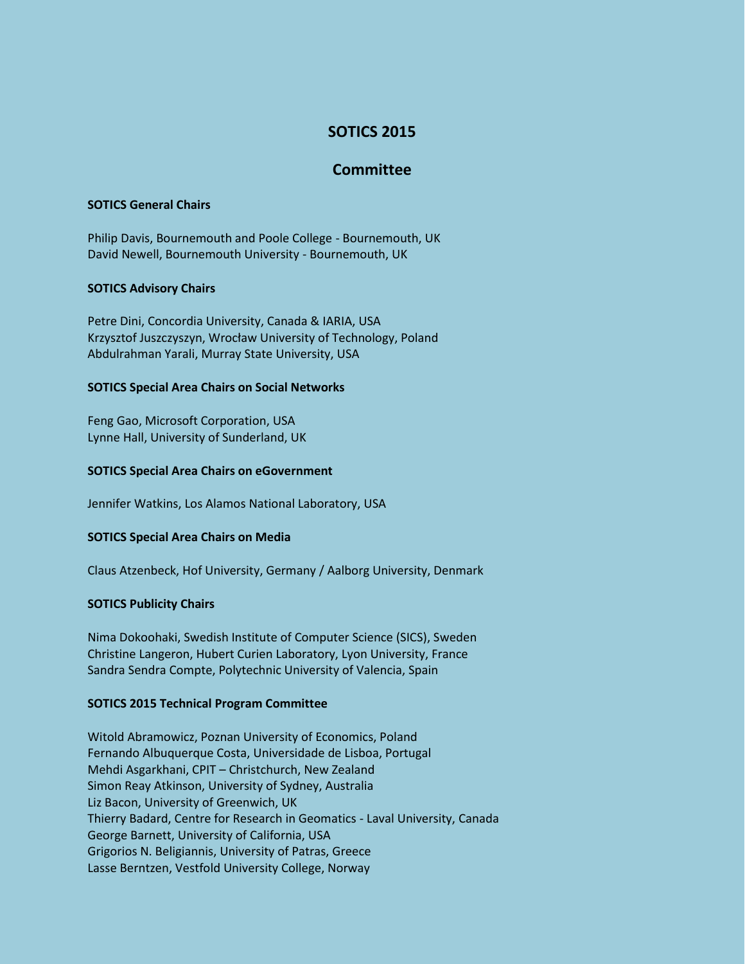# **SOTICS 2015**

# **Committee**

### **SOTICS General Chairs**

Philip Davis, Bournemouth and Poole College - Bournemouth, UK David Newell, Bournemouth University - Bournemouth, UK

### **SOTICS Advisory Chairs**

Petre Dini, Concordia University, Canada & IARIA, USA Krzysztof Juszczyszyn, Wrocław University of Technology, Poland Abdulrahman Yarali, Murray State University, USA

### **SOTICS Special Area Chairs on Social Networks**

Feng Gao, Microsoft Corporation, USA Lynne Hall, University of Sunderland, UK

### **SOTICS Special Area Chairs on eGovernment**

Jennifer Watkins, Los Alamos National Laboratory, USA

## **SOTICS Special Area Chairs on Media**

Claus Atzenbeck, Hof University, Germany / Aalborg University, Denmark

#### **SOTICS Publicity Chairs**

Nima Dokoohaki, Swedish Institute of Computer Science (SICS), Sweden Christine Langeron, Hubert Curien Laboratory, Lyon University, France Sandra Sendra Compte, Polytechnic University of Valencia, Spain

#### **SOTICS 2015 Technical Program Committee**

Witold Abramowicz, Poznan University of Economics, Poland Fernando Albuquerque Costa, Universidade de Lisboa, Portugal Mehdi Asgarkhani, CPIT – Christchurch, New Zealand Simon Reay Atkinson, University of Sydney, Australia Liz Bacon, University of Greenwich, UK Thierry Badard, Centre for Research in Geomatics - Laval University, Canada George Barnett, University of California, USA Grigorios N. Beligiannis, University of Patras, Greece Lasse Berntzen, Vestfold University College, Norway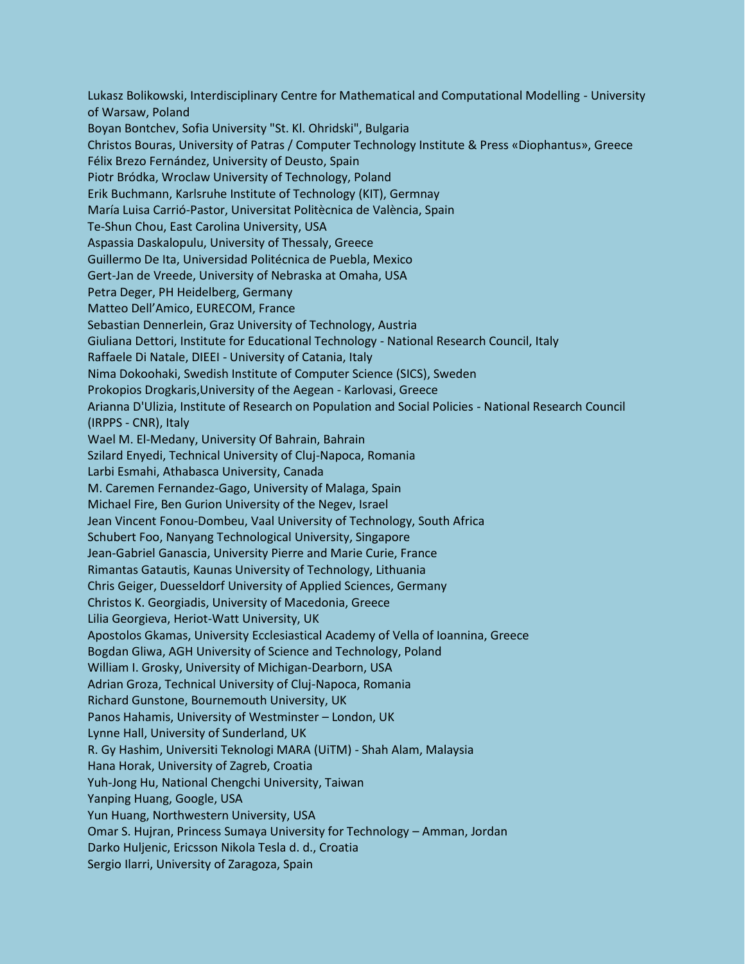Lukasz Bolikowski, Interdisciplinary Centre for Mathematical and Computational Modelling - University of Warsaw, Poland Boyan Bontchev, Sofia University "St. Kl. Ohridski", Bulgaria Christos Bouras, University of Patras / Computer Technology Institute & Press «Diophantus», Greece Félix Brezo Fernández, University of Deusto, Spain Piotr Bródka, Wroclaw University of Technology, Poland Erik Buchmann, Karlsruhe Institute of Technology (KIT), Germnay María Luisa Carrió-Pastor, Universitat Politècnica de València, Spain Te-Shun Chou, East Carolina University, USA Aspassia Daskalopulu, University of Thessaly, Greece Guillermo De Ita, Universidad Politécnica de Puebla, Mexico Gert-Jan de Vreede, University of Nebraska at Omaha, USA Petra Deger, PH Heidelberg, Germany Matteo Dell'Amico, EURECOM, France Sebastian Dennerlein, Graz University of Technology, Austria Giuliana Dettori, Institute for Educational Technology - National Research Council, Italy Raffaele Di Natale, DIEEI - University of Catania, Italy Nima Dokoohaki, Swedish Institute of Computer Science (SICS), Sweden Prokopios Drogkaris,University of the Aegean - Karlovasi, Greece Arianna D'Ulizia, Institute of Research on Population and Social Policies - National Research Council (IRPPS - CNR), Italy Wael M. El-Medany, University Of Bahrain, Bahrain Szilard Enyedi, Technical University of Cluj-Napoca, Romania Larbi Esmahi, Athabasca University, Canada M. Caremen Fernandez-Gago, University of Malaga, Spain Michael Fire, Ben Gurion University of the Negev, Israel Jean Vincent Fonou-Dombeu, Vaal University of Technology, South Africa Schubert Foo, Nanyang Technological University, Singapore Jean-Gabriel Ganascia, University Pierre and Marie Curie, France Rimantas Gatautis, Kaunas University of Technology, Lithuania Chris Geiger, Duesseldorf University of Applied Sciences, Germany Christos K. Georgiadis, University of Macedonia, Greece Lilia Georgieva, Heriot-Watt University, UK Apostolos Gkamas, University Ecclesiastical Academy of Vella of Ioannina, Greece Bogdan Gliwa, AGH University of Science and Technology, Poland William I. Grosky, University of Michigan-Dearborn, USA Adrian Groza, Technical University of Cluj-Napoca, Romania Richard Gunstone, Bournemouth University, UK Panos Hahamis, University of Westminster – London, UK Lynne Hall, University of Sunderland, UK R. Gy Hashim, Universiti Teknologi MARA (UiTM) - Shah Alam, Malaysia Hana Horak, University of Zagreb, Croatia Yuh-Jong Hu, National Chengchi University, Taiwan Yanping Huang, Google, USA Yun Huang, Northwestern University, USA Omar S. Hujran, Princess Sumaya University for Technology – Amman, Jordan Darko Huljenic, Ericsson Nikola Tesla d. d., Croatia Sergio Ilarri, University of Zaragoza, Spain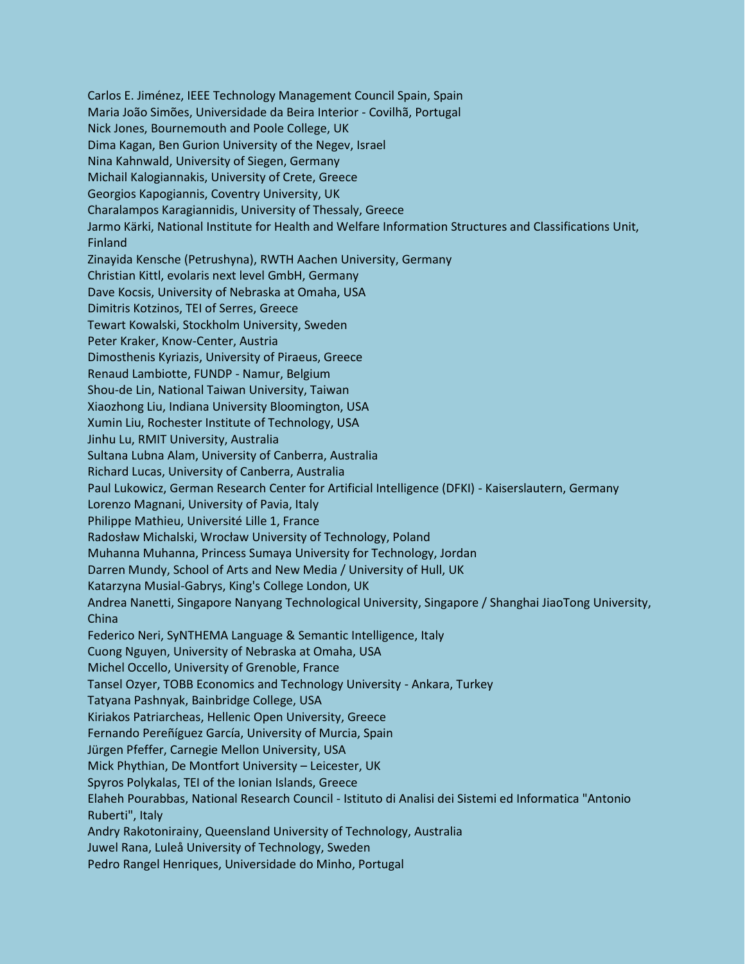Carlos E. Jiménez, IEEE Technology Management Council Spain, Spain Maria João Simões, Universidade da Beira Interior - Covilhã, Portugal Nick Jones, Bournemouth and Poole College, UK Dima Kagan, Ben Gurion University of the Negev, Israel Nina Kahnwald, University of Siegen, Germany Michail Kalogiannakis, University of Crete, Greece Georgios Kapogiannis, Coventry University, UK Charalampos Karagiannidis, University of Thessaly, Greece Jarmo Kärki, National Institute for Health and Welfare Information Structures and Classifications Unit, Finland Zinayida Kensche (Petrushyna), RWTH Aachen University, Germany Christian Kittl, evolaris next level GmbH, Germany Dave Kocsis, University of Nebraska at Omaha, USA Dimitris Kotzinos, TEI of Serres, Greece Tewart Kowalski, Stockholm University, Sweden Peter Kraker, Know-Center, Austria Dimosthenis Kyriazis, University of Piraeus, Greece Renaud Lambiotte, FUNDP - Namur, Belgium Shou-de Lin, National Taiwan University, Taiwan Xiaozhong Liu, Indiana University Bloomington, USA Xumin Liu, Rochester Institute of Technology, USA Jinhu Lu, RMIT University, Australia Sultana Lubna Alam, University of Canberra, Australia Richard Lucas, University of Canberra, Australia Paul Lukowicz, German Research Center for Artificial Intelligence (DFKI) - Kaiserslautern, Germany Lorenzo Magnani, University of Pavia, Italy Philippe Mathieu, Université Lille 1, France Radosław Michalski, Wrocław University of Technology, Poland Muhanna Muhanna, Princess Sumaya University for Technology, Jordan Darren Mundy, School of Arts and New Media / University of Hull, UK Katarzyna Musial-Gabrys, King's College London, UK Andrea Nanetti, Singapore Nanyang Technological University, Singapore / Shanghai JiaoTong University, China Federico Neri, SyNTHEMA Language & Semantic Intelligence, Italy Cuong Nguyen, University of Nebraska at Omaha, USA Michel Occello, University of Grenoble, France Tansel Ozyer, TOBB Economics and Technology University - Ankara, Turkey Tatyana Pashnyak, Bainbridge College, USA Kiriakos Patriarcheas, Hellenic Open University, Greece Fernando Pereñíguez García, University of Murcia, Spain Jürgen Pfeffer, Carnegie Mellon University, USA Mick Phythian, De Montfort University – Leicester, UK Spyros Polykalas, TEI of the Ionian Islands, Greece Elaheh Pourabbas, National Research Council - Istituto di Analisi dei Sistemi ed Informatica "Antonio Ruberti", Italy Andry Rakotonirainy, Queensland University of Technology, Australia Juwel Rana, Luleå University of Technology, Sweden Pedro Rangel Henriques, Universidade do Minho, Portugal